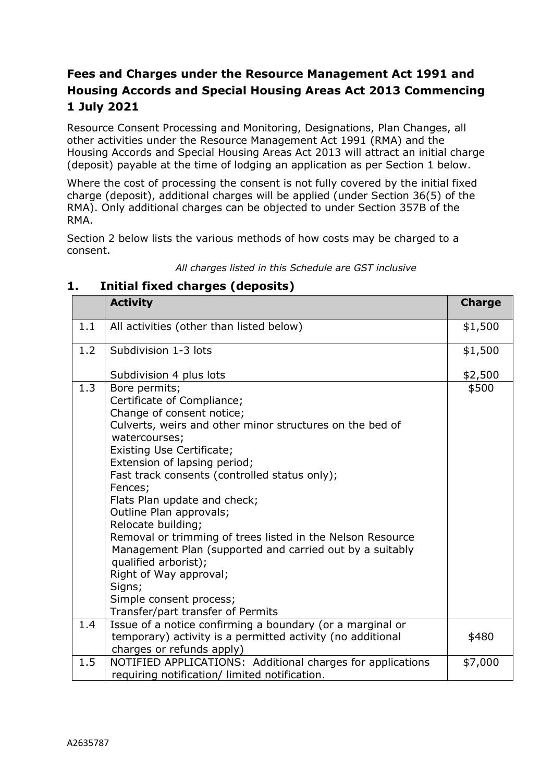# **Fees and Charges under the Resource Management Act 1991 and Housing Accords and Special Housing Areas Act 2013 Commencing 1 July 2021**

Resource Consent Processing and Monitoring, Designations, Plan Changes, all other activities under the Resource Management Act 1991 (RMA) and the Housing Accords and Special Housing Areas Act 2013 will attract an initial charge (deposit) payable at the time of lodging an application as per Section 1 below.

Where the cost of processing the consent is not fully covered by the initial fixed charge (deposit), additional charges will be applied (under Section 36(5) of the RMA). Only additional charges can be objected to under Section 357B of the RMA.

Section 2 below lists the various methods of how costs may be charged to a consent.

|  | All charges listed in this Schedule are GST inclusive |  |
|--|-------------------------------------------------------|--|
|--|-------------------------------------------------------|--|

# **1. Initial fixed charges (deposits)**

|     | <b>Activity</b>                                                                                                                                                                                                                                                                                                                                                                                                                                                                                                                                                                                                       | <b>Charge</b> |
|-----|-----------------------------------------------------------------------------------------------------------------------------------------------------------------------------------------------------------------------------------------------------------------------------------------------------------------------------------------------------------------------------------------------------------------------------------------------------------------------------------------------------------------------------------------------------------------------------------------------------------------------|---------------|
| 1.1 | All activities (other than listed below)                                                                                                                                                                                                                                                                                                                                                                                                                                                                                                                                                                              | \$1,500       |
| 1.2 | Subdivision 1-3 lots                                                                                                                                                                                                                                                                                                                                                                                                                                                                                                                                                                                                  | \$1,500       |
|     | Subdivision 4 plus lots                                                                                                                                                                                                                                                                                                                                                                                                                                                                                                                                                                                               | \$2,500       |
| 1.3 | Bore permits;<br>Certificate of Compliance;<br>Change of consent notice;<br>Culverts, weirs and other minor structures on the bed of<br>watercourses;<br>Existing Use Certificate;<br>Extension of lapsing period;<br>Fast track consents (controlled status only);<br>Fences;<br>Flats Plan update and check;<br>Outline Plan approvals;<br>Relocate building;<br>Removal or trimming of trees listed in the Nelson Resource<br>Management Plan (supported and carried out by a suitably<br>qualified arborist);<br>Right of Way approval;<br>Signs;<br>Simple consent process;<br>Transfer/part transfer of Permits | \$500         |
| 1.4 | Issue of a notice confirming a boundary (or a marginal or<br>temporary) activity is a permitted activity (no additional<br>charges or refunds apply)                                                                                                                                                                                                                                                                                                                                                                                                                                                                  | \$480         |
| 1.5 | NOTIFIED APPLICATIONS: Additional charges for applications<br>requiring notification/ limited notification.                                                                                                                                                                                                                                                                                                                                                                                                                                                                                                           | \$7,000       |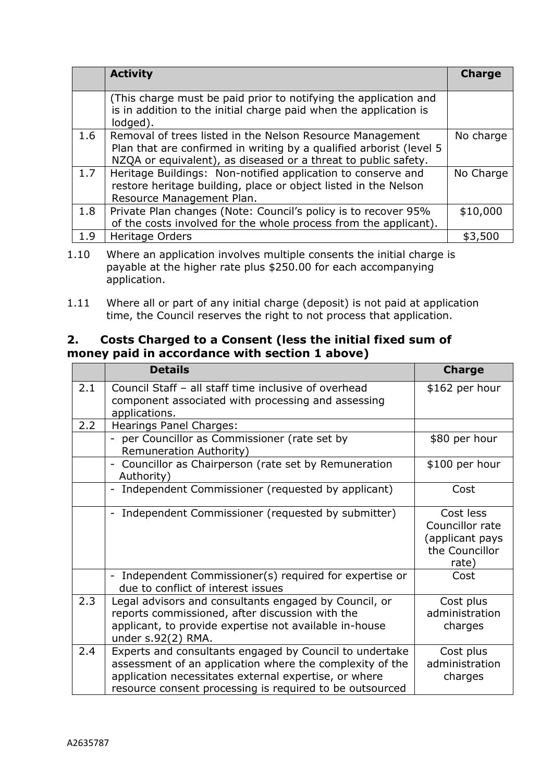|     | <b>Activity</b>                                                                                                                                                                                    | <b>Charge</b> |
|-----|----------------------------------------------------------------------------------------------------------------------------------------------------------------------------------------------------|---------------|
|     | (This charge must be paid prior to notifying the application and<br>is in addition to the initial charge paid when the application is<br>lodged).                                                  |               |
| 1.6 | Removal of trees listed in the Nelson Resource Management<br>Plan that are confirmed in writing by a qualified arborist (level 5<br>NZQA or equivalent), as diseased or a threat to public safety. | No charge     |
| 1.7 | Heritage Buildings: Non-notified application to conserve and<br>restore heritage building, place or object listed in the Nelson<br>Resource Management Plan.                                       | No Charge     |
| 1.8 | Private Plan changes (Note: Council's policy is to recover 95%<br>of the costs involved for the whole process from the applicant).                                                                 | \$10,000      |
| 1.9 | Heritage Orders                                                                                                                                                                                    | \$3,500       |

<sup>1.10</sup> Where an application involves multiple consents the initial charge is payable at the higher rate plus \$250.00 for each accompanying application.

1.11 Where all or part of any initial charge (deposit) is not paid at application time, the Council reserves the right to not process that application.

# **2. Costs Charged to a Consent (less the initial fixed sum of money paid in accordance with section 1 above)**

|     | <b>Details</b>                                                                                                                                                                                                                           | <b>Charge</b>                                                              |
|-----|------------------------------------------------------------------------------------------------------------------------------------------------------------------------------------------------------------------------------------------|----------------------------------------------------------------------------|
| 2.1 | Council Staff - all staff time inclusive of overhead<br>component associated with processing and assessing<br>applications.                                                                                                              | \$162 per hour                                                             |
| 2.2 | <b>Hearings Panel Charges:</b>                                                                                                                                                                                                           |                                                                            |
|     | per Councillor as Commissioner (rate set by<br>Remuneration Authority)                                                                                                                                                                   | \$80 per hour                                                              |
|     | Councillor as Chairperson (rate set by Remuneration<br>Authority)                                                                                                                                                                        | \$100 per hour                                                             |
|     | Independent Commissioner (requested by applicant)                                                                                                                                                                                        | Cost                                                                       |
|     | Independent Commissioner (requested by submitter)                                                                                                                                                                                        | Cost less<br>Councillor rate<br>(applicant pays<br>the Councillor<br>rate) |
|     | - Independent Commissioner(s) required for expertise or<br>due to conflict of interest issues                                                                                                                                            | Cost                                                                       |
| 2.3 | Legal advisors and consultants engaged by Council, or<br>reports commissioned, after discussion with the<br>applicant, to provide expertise not available in-house<br>under s.92(2) RMA.                                                 | Cost plus<br>administration<br>charges                                     |
| 2.4 | Experts and consultants engaged by Council to undertake<br>assessment of an application where the complexity of the<br>application necessitates external expertise, or where<br>resource consent processing is required to be outsourced | Cost plus<br>administration<br>charges                                     |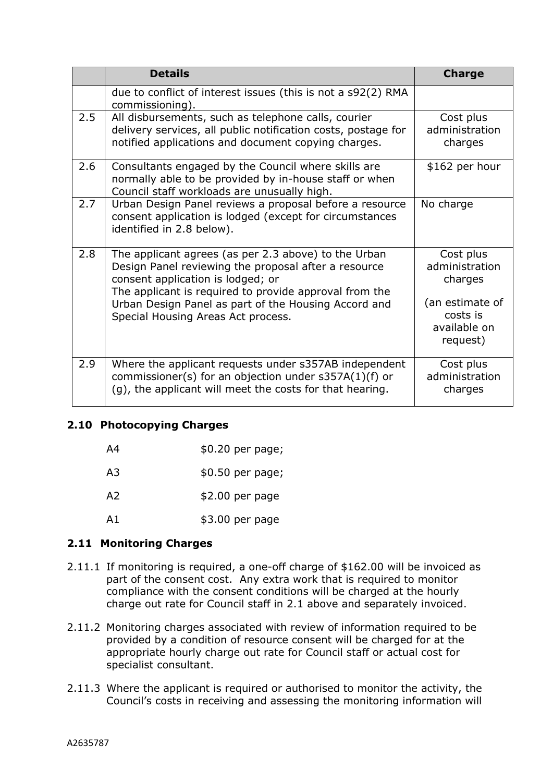|     | <b>Details</b>                                                                                                                                                                                              | <b>Charge</b>                                           |
|-----|-------------------------------------------------------------------------------------------------------------------------------------------------------------------------------------------------------------|---------------------------------------------------------|
|     | due to conflict of interest issues (this is not a s92(2) RMA<br>commissioning).                                                                                                                             |                                                         |
| 2.5 | All disbursements, such as telephone calls, courier<br>delivery services, all public notification costs, postage for<br>notified applications and document copying charges.                                 | Cost plus<br>administration<br>charges                  |
| 2.6 | Consultants engaged by the Council where skills are<br>normally able to be provided by in-house staff or when<br>Council staff workloads are unusually high.                                                | \$162 per hour                                          |
| 2.7 | Urban Design Panel reviews a proposal before a resource<br>consent application is lodged (except for circumstances<br>identified in 2.8 below).                                                             | No charge                                               |
| 2.8 | The applicant agrees (as per 2.3 above) to the Urban<br>Design Panel reviewing the proposal after a resource<br>consent application is lodged; or<br>The applicant is required to provide approval from the | Cost plus<br>administration<br>charges                  |
|     | Urban Design Panel as part of the Housing Accord and<br>Special Housing Areas Act process.                                                                                                                  | (an estimate of<br>costs is<br>available on<br>request) |
| 2.9 | Where the applicant requests under s357AB independent<br>commissioner(s) for an objection under s357A(1)(f) or<br>(g), the applicant will meet the costs for that hearing.                                  | Cost plus<br>administration<br>charges                  |

#### **2.10 Photocopying Charges**

| A4             | $$0.20$ per page; |
|----------------|-------------------|
| A <sub>3</sub> | \$0.50 per page;  |
| A <sub>2</sub> | $$2.00$ per page  |
| A1             | \$3.00 per page   |

#### **2.11 Monitoring Charges**

- 2.11.1 If monitoring is required, a one-off charge of \$162.00 will be invoiced as part of the consent cost. Any extra work that is required to monitor compliance with the consent conditions will be charged at the hourly charge out rate for Council staff in 2.1 above and separately invoiced.
- 2.11.2 Monitoring charges associated with review of information required to be provided by a condition of resource consent will be charged for at the appropriate hourly charge out rate for Council staff or actual cost for specialist consultant.
- 2.11.3 Where the applicant is required or authorised to monitor the activity, the Council's costs in receiving and assessing the monitoring information will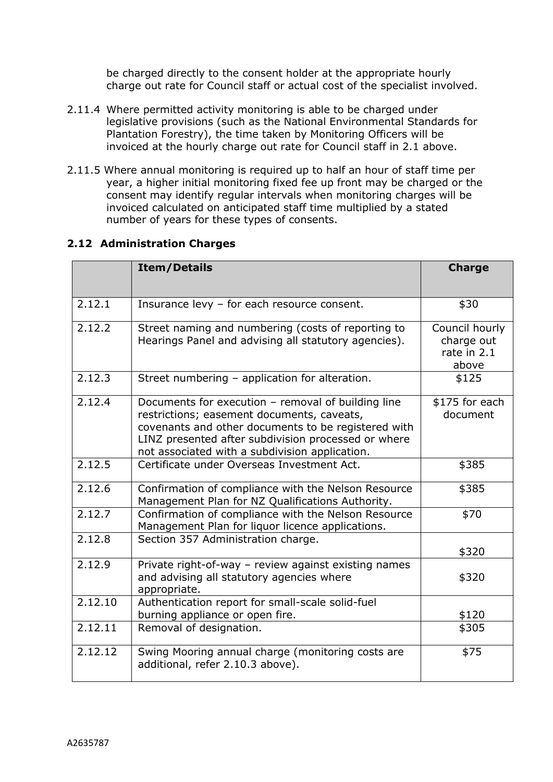be charged directly to the consent holder at the appropriate hourly charge out rate for Council staff or actual cost of the specialist involved.

- 2.11.4 Where permitted activity monitoring is able to be charged under legislative provisions (such as the National Environmental Standards for Plantation Forestry), the time taken by Monitoring Officers will be invoiced at the hourly charge out rate for Council staff in 2.1 above.
- 2.11.5 Where annual monitoring is required up to half an hour of staff time per year, a higher initial monitoring fixed fee up front may be charged or the consent may identify regular intervals when monitoring charges will be invoiced calculated on anticipated staff time multiplied by a stated number of years for these types of consents.

|         | <b>Item/Details</b>                                                                                                                                                                                                                                              | <b>Charge</b>                                        |
|---------|------------------------------------------------------------------------------------------------------------------------------------------------------------------------------------------------------------------------------------------------------------------|------------------------------------------------------|
| 2.12.1  | Insurance levy - for each resource consent.                                                                                                                                                                                                                      | \$30                                                 |
| 2.12.2  | Street naming and numbering (costs of reporting to<br>Hearings Panel and advising all statutory agencies).                                                                                                                                                       | Council hourly<br>charge out<br>rate in 2.1<br>above |
| 2.12.3  | Street numbering - application for alteration.                                                                                                                                                                                                                   | \$125                                                |
| 2.12.4  | Documents for execution - removal of building line<br>restrictions; easement documents, caveats,<br>covenants and other documents to be registered with<br>LINZ presented after subdivision processed or where<br>not associated with a subdivision application. | \$175 for each<br>document                           |
| 2.12.5  | Certificate under Overseas Investment Act.                                                                                                                                                                                                                       | \$385                                                |
| 2.12.6  | Confirmation of compliance with the Nelson Resource<br>Management Plan for NZ Qualifications Authority.                                                                                                                                                          | \$385                                                |
| 2.12.7  | Confirmation of compliance with the Nelson Resource<br>Management Plan for liquor licence applications.                                                                                                                                                          | \$70                                                 |
| 2.12.8  | Section 357 Administration charge.                                                                                                                                                                                                                               | \$320                                                |
| 2.12.9  | Private right-of-way - review against existing names<br>and advising all statutory agencies where<br>appropriate.                                                                                                                                                | \$320                                                |
| 2.12.10 | Authentication report for small-scale solid-fuel<br>burning appliance or open fire.                                                                                                                                                                              | \$120                                                |
| 2.12.11 | Removal of designation.                                                                                                                                                                                                                                          | \$305                                                |
| 2.12.12 | Swing Mooring annual charge (monitoring costs are<br>additional, refer 2.10.3 above).                                                                                                                                                                            | \$75                                                 |

### **2.12 Administration Charges**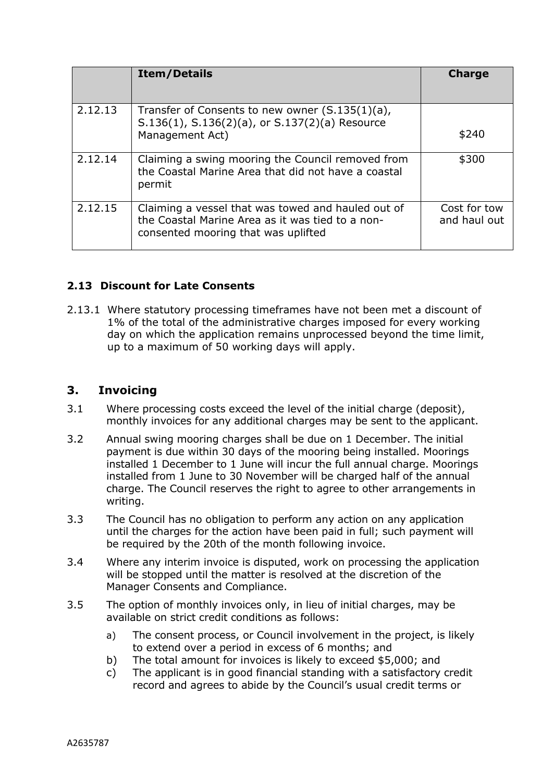|         | <b>Item/Details</b>                                                                                                                           | <b>Charge</b>                |
|---------|-----------------------------------------------------------------------------------------------------------------------------------------------|------------------------------|
| 2.12.13 | Transfer of Consents to new owner $(S.135(1)(a))$ ,<br>S.136(1), S.136(2)(a), or S.137(2)(a) Resource<br>Management Act)                      | \$240                        |
| 2.12.14 | Claiming a swing mooring the Council removed from<br>the Coastal Marine Area that did not have a coastal<br>permit                            | \$300                        |
| 2.12.15 | Claiming a vessel that was towed and hauled out of<br>the Coastal Marine Area as it was tied to a non-<br>consented mooring that was uplifted | Cost for tow<br>and haul out |

## **2.13 Discount for Late Consents**

2.13.1 Where statutory processing timeframes have not been met a discount of 1% of the total of the administrative charges imposed for every working day on which the application remains unprocessed beyond the time limit, up to a maximum of 50 working days will apply.

## **3. Invoicing**

- 3.1 Where processing costs exceed the level of the initial charge (deposit), monthly invoices for any additional charges may be sent to the applicant.
- 3.2 Annual swing mooring charges shall be due on 1 December. The initial payment is due within 30 days of the mooring being installed. Moorings installed 1 December to 1 June will incur the full annual charge. Moorings installed from 1 June to 30 November will be charged half of the annual charge. The Council reserves the right to agree to other arrangements in writing.
- 3.3 The Council has no obligation to perform any action on any application until the charges for the action have been paid in full; such payment will be required by the 20th of the month following invoice.
- 3.4 Where any interim invoice is disputed, work on processing the application will be stopped until the matter is resolved at the discretion of the Manager Consents and Compliance.
- 3.5 The option of monthly invoices only, in lieu of initial charges, may be available on strict credit conditions as follows:
	- a) The consent process, or Council involvement in the project, is likely to extend over a period in excess of 6 months; and
	- b) The total amount for invoices is likely to exceed \$5,000; and
	- c) The applicant is in good financial standing with a satisfactory credit record and agrees to abide by the Council's usual credit terms or